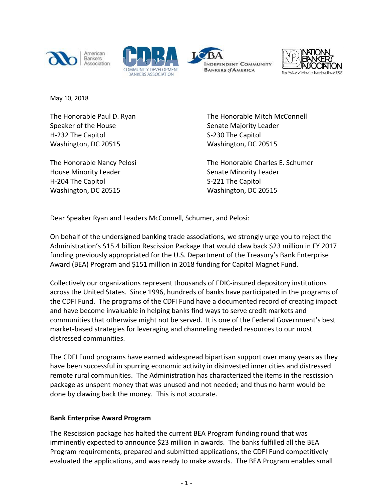







May 10, 2018

The Honorable Paul D. Ryan Speaker of the House H-232 The Capitol Washington, DC 20515

The Honorable Nancy Pelosi House Minority Leader H-204 The Capitol Washington, DC 20515

The Honorable Mitch McConnell Senate Majority Leader S-230 The Capitol Washington, DC 20515

The Honorable Charles E. Schumer Senate Minority Leader S-221 The Capitol Washington, DC 20515

Dear Speaker Ryan and Leaders McConnell, Schumer, and Pelosi:

On behalf of the undersigned banking trade associations, we strongly urge you to reject the Administration's \$15.4 billion Rescission Package that would claw back \$23 million in FY 2017 funding previously appropriated for the U.S. Department of the Treasury's Bank Enterprise Award (BEA) Program and \$151 million in 2018 funding for Capital Magnet Fund.

Collectively our organizations represent thousands of FDIC-insured depository institutions across the United States. Since 1996, hundreds of banks have participated in the programs of the CDFI Fund. The programs of the CDFI Fund have a documented record of creating impact and have become invaluable in helping banks find ways to serve credit markets and communities that otherwise might not be served. It is one of the Federal Government's best market-based strategies for leveraging and channeling needed resources to our most distressed communities.

The CDFI Fund programs have earned widespread bipartisan support over many years as they have been successful in spurring economic activity in disinvested inner cities and distressed remote rural communities. The Administration has characterized the items in the rescission package as unspent money that was unused and not needed; and thus no harm would be done by clawing back the money. This is not accurate.

## **Bank Enterprise Award Program**

The Rescission package has halted the current BEA Program funding round that was imminently expected to announce \$23 million in awards. The banks fulfilled all the BEA Program requirements, prepared and submitted applications, the CDFI Fund competitively evaluated the applications, and was ready to make awards. The BEA Program enables small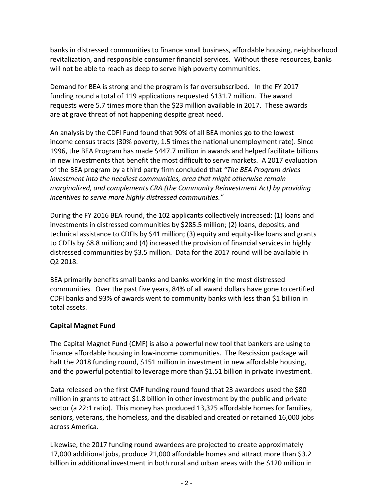banks in distressed communities to finance small business, affordable housing, neighborhood revitalization, and responsible consumer financial services. Without these resources, banks will not be able to reach as deep to serve high poverty communities.

Demand for BEA is strong and the program is far oversubscribed. In the FY 2017 funding round a total of 119 applications requested \$131.7 million. The award requests were 5.7 times more than the \$23 million available in 2017. These awards are at grave threat of not happening despite great need.

An analysis by the CDFI Fund found that 90% of all BEA monies go to the lowest income census tracts (30% poverty, 1.5 times the national unemployment rate). Since 1996, the BEA Program has made \$447.7 million in awards and helped facilitate billions in new investments that benefit the most difficult to serve markets. A 2017 evaluation of the BEA program by a third party firm concluded that *"The BEA Program drives investment into the neediest communities, area that might otherwise remain marginalized, and complements CRA (the Community Reinvestment Act) by providing incentives to serve more highly distressed communities."*

During the FY 2016 BEA round, the 102 applicants collectively increased: (1) loans and investments in distressed communities by \$285.5 million; (2) loans, deposits, and technical assistance to CDFIs by \$41 million; (3) equity and equity-like loans and grants to CDFIs by \$8.8 million; and (4) increased the provision of financial services in highly distressed communities by \$3.5 million. Data for the 2017 round will be available in Q2 2018.

BEA primarily benefits small banks and banks working in the most distressed communities. Over the past five years, 84% of all award dollars have gone to certified CDFI banks and 93% of awards went to community banks with less than \$1 billion in total assets.

## **Capital Magnet Fund**

The Capital Magnet Fund (CMF) is also a powerful new tool that bankers are using to finance affordable housing in low-income communities. The Rescission package will halt the 2018 funding round, \$151 million in investment in new affordable housing, and the powerful potential to leverage more than \$1.51 billion in private investment.

Data released on the first CMF funding round found that 23 awardees used the \$80 million in grants to attract \$1.8 billion in other investment by the public and private sector (a 22:1 ratio). This money has produced 13,325 affordable homes for families, seniors, veterans, the homeless, and the disabled and created or retained 16,000 jobs across America.

Likewise, the 2017 funding round awardees are projected to create approximately 17,000 additional jobs, produce 21,000 affordable homes and attract more than \$3.2 billion in additional investment in both rural and urban areas with the \$120 million in